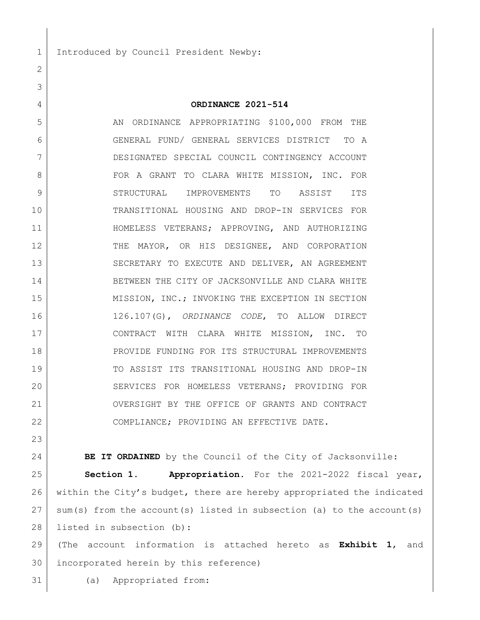1 Introduced by Council President Newby:

## **ORDINANCE 2021-514**

5 AN ORDINANCE APPROPRIATING \$100,000 FROM THE GENERAL FUND/ GENERAL SERVICES DISTRICT TO A DESIGNATED SPECIAL COUNCIL CONTINGENCY ACCOUNT FOR A GRANT TO CLARA WHITE MISSION, INC. FOR STRUCTURAL IMPROVEMENTS TO ASSIST ITS TRANSITIONAL HOUSING AND DROP-IN SERVICES FOR HOMELESS VETERANS; APPROVING, AND AUTHORIZING THE MAYOR, OR HIS DESIGNEE, AND CORPORATION 13 SECRETARY TO EXECUTE AND DELIVER, AN AGREEMENT BETWEEN THE CITY OF JACKSONVILLE AND CLARA WHITE 15 MISSION, INC.; INVOKING THE EXCEPTION IN SECTION 126.107(G), *ORDINANCE CODE*, TO ALLOW DIRECT CONTRACT WITH CLARA WHITE MISSION, INC. TO PROVIDE FUNDING FOR ITS STRUCTURAL IMPROVEMENTS TO ASSIST ITS TRANSITIONAL HOUSING AND DROP-IN 20 SERVICES FOR HOMELESS VETERANS; PROVIDING FOR OVERSIGHT BY THE OFFICE OF GRANTS AND CONTRACT 22 COMPLIANCE; PROVIDING AN EFFECTIVE DATE.

**BE IT ORDAINED** by the Council of the City of Jacksonville:

 **Section 1. Appropriation.** For the 2021-2022 fiscal year, within the City's budget, there are hereby appropriated the indicated sum(s) from the account(s) listed in subsection (a) to the account(s) 28 | listed in subsection (b):

 (The account information is attached hereto as **Exhibit 1**, and incorporated herein by this reference)

(a) Appropriated from: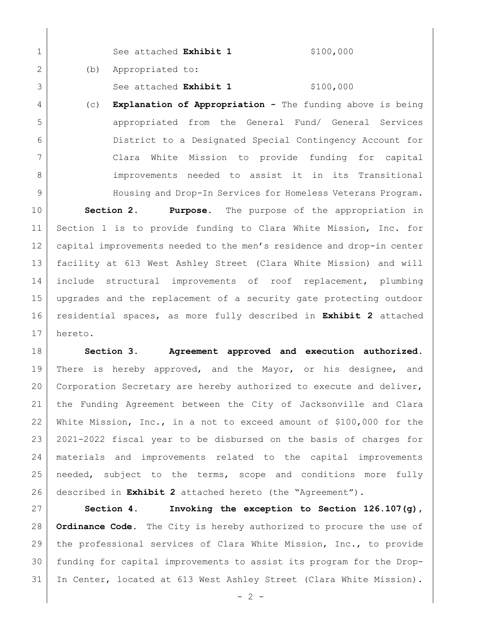1 See attached **Exhibit 1** \$100,000 2 (b) Appropriated to:

3 See attached **Exhibit 1** \$100,000

 (c) **Explanation of Appropriation -** The funding above is being appropriated from the General Fund/ General Services District to a Designated Special Contingency Account for Clara White Mission to provide funding for capital 8 | Sumprovements needed to assist it in its Transitional Housing and Drop-In Services for Homeless Veterans Program.

 **Section 2. Purpose.** The purpose of the appropriation in Section 1 is to provide funding to Clara White Mission, Inc. for capital improvements needed to the men's residence and drop-in center facility at 613 West Ashley Street (Clara White Mission) and will include structural improvements of roof replacement, plumbing upgrades and the replacement of a security gate protecting outdoor residential spaces, as more fully described in **Exhibit 2** attached hereto.

 **Section 3. Agreement approved and execution authorized.** There is hereby approved, and the Mayor, or his designee, and Corporation Secretary are hereby authorized to execute and deliver, the Funding Agreement between the City of Jacksonville and Clara White Mission, Inc., in a not to exceed amount of \$100,000 for the 2021-2022 fiscal year to be disbursed on the basis of charges for materials and improvements related to the capital improvements 25 | needed, subject to the terms, scope and conditions more fully described in **Exhibit 2** attached hereto (the "Agreement").

 **Section 4. Invoking the exception to Section 126.107(g), Ordinance Code.** The City is hereby authorized to procure the use of the professional services of Clara White Mission, Inc., to provide funding for capital improvements to assist its program for the Drop-In Center, located at 613 West Ashley Street (Clara White Mission).

 $- 2 -$